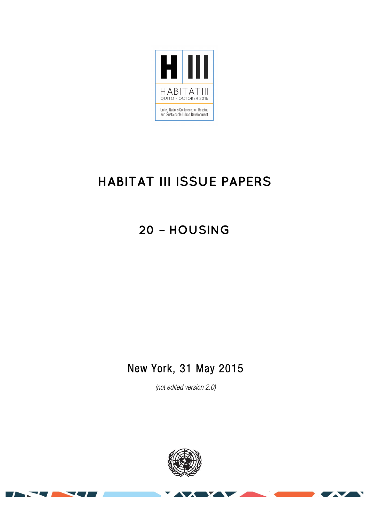

# **HABITAT III ISSUE PAPERS**

**20 – HOUSING**

## New York, 31 May 2015

(not edited version 2.0)

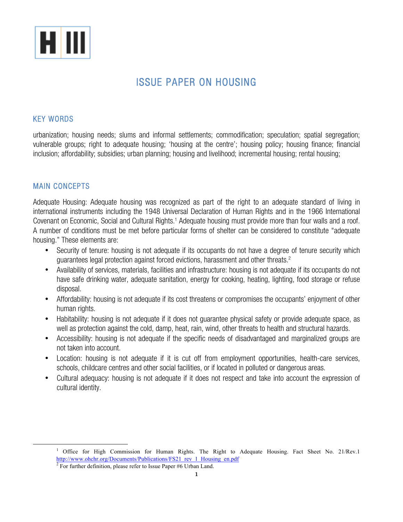

## ISSUE PAPER ON HOUSING

#### KEY WORDS

urbanization; housing needs; slums and informal settlements; commodification; speculation; spatial segregation; vulnerable groups; right to adequate housing; 'housing at the centre'; housing policy; housing finance; financial inclusion; affordability; subsidies; urban planning; housing and livelihood; incremental housing; rental housing;

#### MAIN CONCEPTS

Adequate Housing: Adequate housing was recognized as part of the right to an adequate standard of living in international instruments including the 1948 Universal Declaration of Human Rights and in the 1966 International Covenant on Economic, Social and Cultural Rights. <sup>1</sup> Adequate housing must provide more than four walls and a roof. A number of conditions must be met before particular forms of shelter can be considered to constitute "adequate housing." These elements are:

- Security of tenure: housing is not adequate if its occupants do not have a degree of tenure security which guarantees legal protection against forced evictions, harassment and other threats.2
- Availability of services, materials, facilities and infrastructure: housing is not adequate if its occupants do not have safe drinking water, adequate sanitation, energy for cooking, heating, lighting, food storage or refuse disposal.
- Affordability: housing is not adequate if its cost threatens or compromises the occupants' enjoyment of other human rights.
- Habitability: housing is not adequate if it does not guarantee physical safety or provide adequate space, as well as protection against the cold, damp, heat, rain, wind, other threats to health and structural hazards.
- Accessibility: housing is not adequate if the specific needs of disadvantaged and marginalized groups are not taken into account.
- Location: housing is not adequate if it is cut off from employment opportunities, health-care services, schools, childcare centres and other social facilities, or if located in polluted or dangerous areas.
- Cultural adequacy: housing is not adequate if it does not respect and take into account the expression of cultural identity.

<sup>&</sup>lt;sup>1</sup> Office for High Commission for Human Rights. The Right to Adequate Housing. Fact Sheet No. 21/Rev.1 http://www.ohchr.org/Documents/Publications/FS21\_rev\_1\_Housing\_en.pdf

 $2$  For further definition, please refer to Issue Paper #6 Urban Land.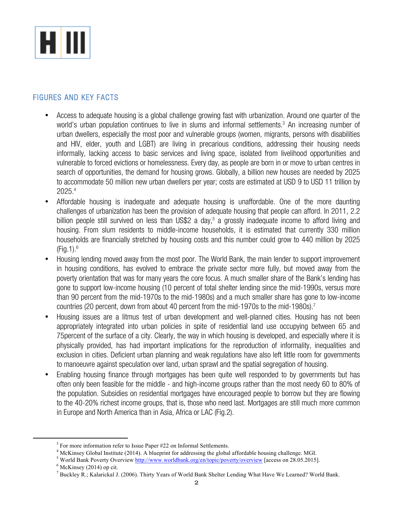

#### FIGURES AND KEY FACTS

- Access to adequate housing is a global challenge growing fast with urbanization. Around one quarter of the world's urban population continues to live in slums and informal settlements.<sup>3</sup> An increasing number of urban dwellers, especially the most poor and vulnerable groups (women, migrants, persons with disabilities and HIV, elder, youth and LGBT) are living in precarious conditions, addressing their housing needs informally, lacking access to basic services and living space, isolated from livelihood opportunities and vulnerable to forced evictions or homelessness. Every day, as people are born in or move to urban centres in search of opportunities, the demand for housing grows. Globally, a billion new houses are needed by 2025 to accommodate 50 million new urban dwellers per year; costs are estimated at USD 9 to USD 11 trillion by 2025.4
- Affordable housing is inadequate and adequate housing is unaffordable. One of the more daunting challenges of urbanization has been the provision of adequate housing that people can afford. In 2011, 2.2 billion people still survived on less than US\$2 a day, <sup>5</sup> a grossly inadequate income to afford living and housing. From slum residents to middle-income households, it is estimated that currently 330 million households are financially stretched by housing costs and this number could grow to 440 million by 2025 (Fig.1). 6
- Housing lending moved away from the most poor. The World Bank, the main lender to support improvement in housing conditions, has evolved to embrace the private sector more fully, but moved away from the poverty orientation that was for many years the core focus. A much smaller share of the Bank's lending has gone to support low-income housing (10 percent of total shelter lending since the mid-1990s, versus more than 90 percent from the mid-1970s to the mid-1980s) and a much smaller share has gone to low-income countries (20 percent, down from about 40 percent from the mid-1970s to the mid-1980s).<sup>7</sup>
- Housing issues are a litmus test of urban development and well-planned cities. Housing has not been appropriately integrated into urban policies in spite of residential land use occupying between 65 and 75percent of the surface of a city. Clearly, the way in which housing is developed, and especially where it is physically provided, has had important implications for the reproduction of informality, inequalities and exclusion in cities. Deficient urban planning and weak regulations have also left little room for governments to manoeuvre against speculation over land, urban sprawl and the spatial segregation of housing.
- Enabling housing finance through mortgages has been quite well responded to by governments but has often only been feasible for the middle - and high-income groups rather than the most needy 60 to 80% of the population. Subsidies on residential mortgages have encouraged people to borrow but they are flowing to the 40-20% richest income groups, that is, those who need last. Mortgages are still much more common in Europe and North America than in Asia, Africa or LAC (Fig.2).

 $3$  For more information refer to Issue Paper  $#22$  on Informal Settlements.

<sup>4</sup> McKinsey Global Institute (2014). A blueprint for addressing the global affordable housing challenge. MGI.

<sup>&</sup>lt;sup>5</sup> World Bank Poverty Overview http://www.worldbank.org/en/topic/poverty/overview [access on 28.05.2015].

 $6$  McKinsey (2014) op cit.

<sup>7</sup> Buckley R.; Kalarickal J. (2006). Thirty Years of World Bank Shelter Lending What Have We Learned? World Bank.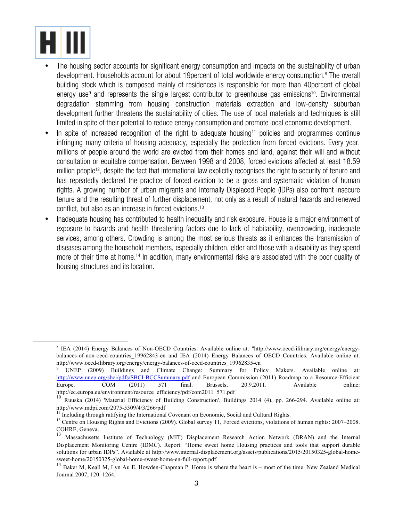

- The housing sector accounts for significant energy consumption and impacts on the sustainability of urban development. Households account for about 19 percent of total worldwide energy consumption.<sup>8</sup> The overall building stock which is composed mainly of residences is responsible for more than 40percent of global energy use<sup>9</sup> and represents the single largest contributor to greenhouse gas emissions<sup>10</sup>. Environmental degradation stemming from housing construction materials extraction and low-density suburban development further threatens the sustainability of cities. The use of local materials and techniques is still limited in spite of their potential to reduce energy consumption and promote local economic development.
- In spite of increased recognition of the right to adequate housing<sup>11</sup> policies and programmes continue infringing many criteria of housing adequacy, especially the protection from forced evictions. Every year, millions of people around the world are evicted from their homes and land, against their will and without consultation or equitable compensation. Between 1998 and 2008, forced evictions affected at least 18.59 million people<sup>12</sup>, despite the fact that international law explicitly recognises the right to security of tenure and has repeatedly declared the practice of forced eviction to be a gross and systematic violation of human rights. A growing number of urban migrants and Internally Displaced People (IDPs) also confront insecure tenure and the resulting threat of further displacement, not only as a result of natural hazards and renewed conflict, but also as an increase in forced evictions.13
- Inadequate housing has contributed to health inequality and risk exposure. House is a major environment of exposure to hazards and health threatening factors due to lack of habitability, overcrowding, inadequate services, among others. Crowding is among the most serious threats as it enhances the transmission of diseases among the household members, especially children, elder and those with a disability as they spend more of their time at home.<sup>14</sup> In addition, many environmental risks are associated with the poor quality of housing structures and its location.

<sup>8</sup> IEA (2014) Energy Balances of Non-OECD Countries. Available online at: "http://www.oecd-ilibrary.org/energy/energybalances-of-non-oecd-countries\_19962843-en and IEA (2014) Energy Balances of OECD Countries. Available online at: http://www.oecd-ilibrary.org/energy/energy-balances-of-oecd-countries\_19962835-en

<sup>9</sup> UNEP (2009) Buildings and Climate Change: Summary for Policy Makers. Available online at: http://www.unep.org/sbci/pdfs/SBCI-BCCSummary.pdf and European Commission (2011) Roadmap to a Resource-Efficient Europe. COM (2011) 571 final. Brussels, 20.9.2011. Available online: http://ec.europa.eu/environment/resource\_efficiency/pdf/com2011\_571.pdf

<sup>&</sup>lt;sup>10</sup> Ruuska (2014) 'Material Efficiency of Building Construction'. Buildings 2014 (4), pp. 266-294. Available online at: http://www.mdpi.com/2075-5309/4/3/266/pdf<br><sup>11</sup> Including through ratifying the International Covenant on Economic, Social and Cultural Rights.

<sup>&</sup>lt;sup>12</sup> Centre on Housing Rights and Evictions (2009). Global survey 11, Forced evictions, violations of human rights: 2007–2008. COHRE, Geneva.

<sup>13</sup> Massachusetts Institute of Technology (MIT) Displacement Research Action Network (DRAN) and the Internal Displacement Monitoring Centre (IDMC). Report: "Home sweet home Housing practices and tools that support durable solutions for urban IDPs". Available at http://www.internal-displacement.org/assets/publications/2015/20150325-global-homesweet-home/20150325-global-home-sweet-home-en-full-report.pdf

<sup>&</sup>lt;sup>14</sup> Baker M, Keall M, Lyn Au E, Howden-Chapman P. Home is where the heart is – most of the time. New Zealand Medical Journal 2007; 120: 1264.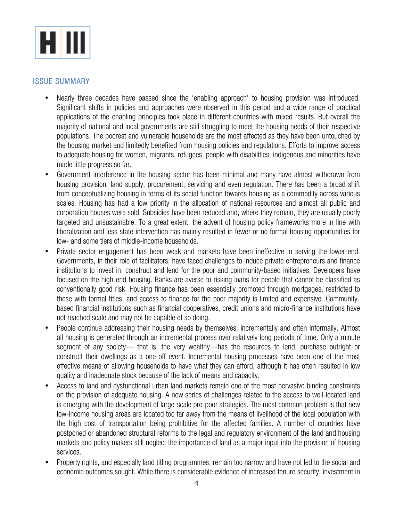

#### ISSUE SUMMARY

- Nearly three decades have passed since the 'enabling approach' to housing provision was introduced. Significant shifts in policies and approaches were observed in this period and a wide range of practical applications of the enabling principles took place in different countries with mixed results. But overall the majority of national and local governments are still struggling to meet the housing needs of their respective populations. The poorest and vulnerable households are the most affected as they have been untouched by the housing market and limitedly benefited from housing policies and regulations. Efforts to improve access to adequate housing for women, migrants, refugees, people with disabilities, indigenous and minorities have made little progress so far.
- Government interference in the housing sector has been minimal and many have almost withdrawn from housing provision, land supply, procurement, servicing and even regulation. There has been a broad shift from conceptualizing housing in terms of its social function towards housing as a commodity across various scales. Housing has had a low priority in the allocation of national resources and almost all public and corporation houses were sold. Subsidies have been reduced and, where they remain, they are usually poorly targeted and unsustainable. To a great extent, the advent of housing policy frameworks more in line with liberalization and less state intervention has mainly resulted in fewer or no formal housing opportunities for low- and some tiers of middle-income households.
- Private sector engagement has been weak and markets have been ineffective in serving the lower-end. Governments, in their role of facilitators, have faced challenges to induce private entrepreneurs and finance institutions to invest in, construct and lend for the poor and community-based initiatives. Developers have focused on the high-end housing. Banks are averse to risking loans for people that cannot be classified as conventionally good risk. Housing finance has been essentially promoted through mortgages, restricted to those with formal titles, and access to finance for the poor majority is limited and expensive. Communitybased financial institutions such as financial cooperatives, credit unions and micro-finance institutions have not reached scale and may not be capable of so doing.
- People continue addressing their housing needs by themselves, incrementally and often informally. Almost all housing is generated through an incremental process over relatively long periods of time. Only a minute segment of any society— that is, the very wealthy—has the resources to lend, purchase outright or construct their dwellings as a one-off event. Incremental housing processes have been one of the most effective means of allowing households to have what they can afford, although it has often resulted in low quality and inadequate stock because of the lack of means and capacity.
- Access to land and dysfunctional urban land markets remain one of the most pervasive binding constraints on the provision of adequate housing. A new series of challenges related to the access to well-located land is emerging with the development of large-scale pro-poor strategies. The most common problem is that new low-income housing areas are located too far away from the means of livelihood of the local population with the high cost of transportation being prohibitive for the affected families. A number of countries have postponed or abandoned structural reforms to the legal and regulatory environment of the land and housing markets and policy makers still neglect the importance of land as a major input into the provision of housing services.
- Property rights, and especially land titling programmes, remain too narrow and have not led to the social and economic outcomes sought. While there is considerable evidence of increased tenure security, investment in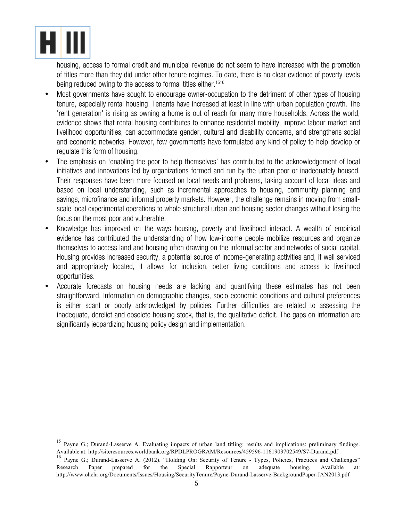

<u> 1989 - Johann Stein, fransk politik (d. 1989)</u>

housing, access to formal credit and municipal revenue do not seem to have increased with the promotion of titles more than they did under other tenure regimes. To date, there is no clear evidence of poverty levels being reduced owing to the access to formal titles either.<sup>1516</sup>

- Most governments have sought to encourage owner-occupation to the detriment of other types of housing tenure, especially rental housing. Tenants have increased at least in line with urban population growth. The 'rent generation' is rising as owning a home is out of reach for many more households. Across the world, evidence shows that rental housing contributes to enhance residential mobility, improve labour market and livelihood opportunities, can accommodate gender, cultural and disability concerns, and strengthens social and economic networks. However, few governments have formulated any kind of policy to help develop or regulate this form of housing.
- The emphasis on 'enabling the poor to help themselves' has contributed to the acknowledgement of local initiatives and innovations led by organizations formed and run by the urban poor or inadequately housed. Their responses have been more focused on local needs and problems, taking account of local ideas and based on local understanding, such as incremental approaches to housing, community planning and savings, microfinance and informal property markets. However, the challenge remains in moving from smallscale local experimental operations to whole structural urban and housing sector changes without losing the focus on the most poor and vulnerable.
- Knowledge has improved on the ways housing, poverty and livelihood interact. A wealth of empirical evidence has contributed the understanding of how low-income people mobilize resources and organize themselves to access land and housing often drawing on the informal sector and networks of social capital. Housing provides increased security, a potential source of income-generating activities and, if well serviced and appropriately located, it allows for inclusion, better living conditions and access to livelihood opportunities.
- Accurate forecasts on housing needs are lacking and quantifying these estimates has not been straightforward. Information on demographic changes, socio-economic conditions and cultural preferences is either scant or poorly acknowledged by policies. Further difficulties are related to assessing the inadequate, derelict and obsolete housing stock, that is, the qualitative deficit. The gaps on information are significantly jeopardizing housing policy design and implementation.

<sup>&</sup>lt;sup>15</sup> Payne G.; Durand-Lasserve A. Evaluating impacts of urban land titling: results and implications: preliminary findings. Available at: http://siteresources.worldbank.org/RPDLPROGRAM/Resources/459596-1161903702549/S7-Durand.pdf <sup>16</sup> Payne G.; Durand-Lasserve A. (2012). "Holding On: Security of Tenure - Types, Policies, Practices and Challenges" Research Paper prepared for the Special Rapporteur on adequate housing. Available at: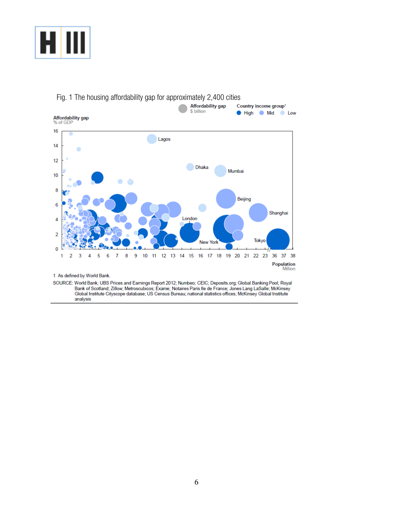



1 As defined by World Bank.

SOURCE: World Bank; UBS Prices and Earnings Report 2012; Numbeo; CEIC; Deposits.org; Global Banking Pool; Royal Bank of Scotland; Zillow; Metroscubicos; Exame; Notaires Paris Ile de France; Jones Lang LaSalle; McKinsey Global Institute Cityscope database; US Census Bureau; national statistics offices; McKinsey Global Institute analysis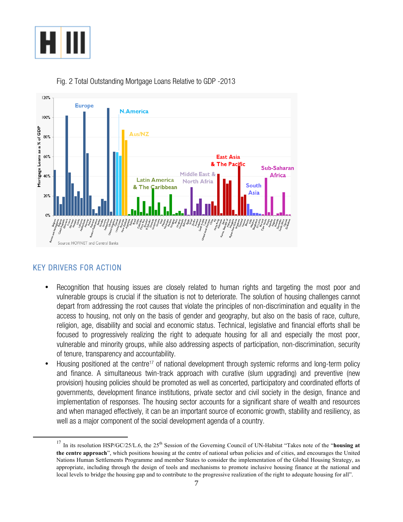



Fig. 2 Total Outstanding Mortgage Loans Relative to GDP -2013

### KEY DRIVERS FOR ACTION

- Recognition that housing issues are closely related to human rights and targeting the most poor and vulnerable groups is crucial if the situation is not to deteriorate. The solution of housing challenges cannot depart from addressing the root causes that violate the principles of non-discrimination and equality in the access to housing, not only on the basis of gender and geography, but also on the basis of race, culture, religion, age, disability and social and economic status. Technical, legislative and financial efforts shall be focused to progressively realizing the right to adequate housing for all and especially the most poor, vulnerable and minority groups, while also addressing aspects of participation, non-discrimination, security of tenure, transparency and accountability.
- Housing positioned at the centre<sup>17</sup> of national development through systemic reforms and long-term policy and finance. A simultaneous twin-track approach with curative (slum upgrading) and preventive (new provision) housing policies should be promoted as well as concerted, participatory and coordinated efforts of governments, development finance institutions, private sector and civil society in the design, finance and implementation of responses. The housing sector accounts for a significant share of wealth and resources and when managed effectively, it can be an important source of economic growth, stability and resiliency, as well as a major component of the social development agenda of a country.

 $17$  In its resolution HSP/GC/25/L.6, the 25<sup>th</sup> Session of the Governing Council of UN-Habitat "Takes note of the "**housing at the centre approach**", which positions housing at the centre of national urban policies and of cities, and encourages the United Nations Human Settlements Programme and member States to consider the implementation of the Global Housing Strategy, as appropriate, including through the design of tools and mechanisms to promote inclusive housing finance at the national and local levels to bridge the housing gap and to contribute to the progressive realization of the right to adequate housing for all".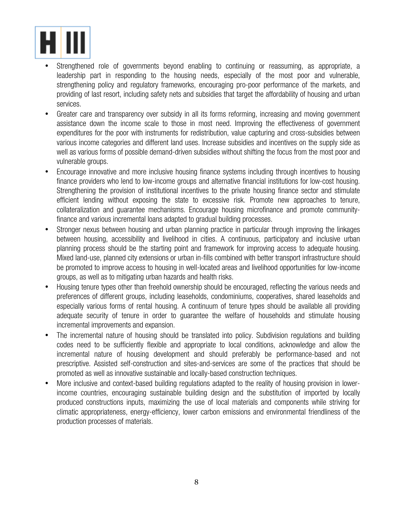

- Strengthened role of governments beyond enabling to continuing or reassuming, as appropriate, a leadership part in responding to the housing needs, especially of the most poor and vulnerable, strengthening policy and regulatory frameworks, encouraging pro-poor performance of the markets, and providing of last resort, including safety nets and subsidies that target the affordability of housing and urban services.
- Greater care and transparency over subsidy in all its forms reforming, increasing and moving government assistance down the income scale to those in most need. Improving the effectiveness of government expenditures for the poor with instruments for redistribution, value capturing and cross-subsidies between various income categories and different land uses. Increase subsidies and incentives on the supply side as well as various forms of possible demand-driven subsidies without shifting the focus from the most poor and vulnerable groups.
- Encourage innovative and more inclusive housing finance systems including through incentives to housing finance providers who lend to low-income groups and alternative financial institutions for low-cost housing. Strengthening the provision of institutional incentives to the private housing finance sector and stimulate efficient lending without exposing the state to excessive risk. Promote new approaches to tenure, collateralization and guarantee mechanisms. Encourage housing microfinance and promote communityfinance and various incremental loans adapted to gradual building processes.
- Stronger nexus between housing and urban planning practice in particular through improving the linkages between housing, accessibility and livelihood in cities. A continuous, participatory and inclusive urban planning process should be the starting point and framework for improving access to adequate housing. Mixed land-use, planned city extensions or urban in-fills combined with better transport infrastructure should be promoted to improve access to housing in well-located areas and livelihood opportunities for low-income groups, as well as to mitigating urban hazards and health risks.
- Housing tenure types other than freehold ownership should be encouraged, reflecting the various needs and preferences of different groups, including leaseholds, condominiums, cooperatives, shared leaseholds and especially various forms of rental housing. A continuum of tenure types should be available all providing adequate security of tenure in order to guarantee the welfare of households and stimulate housing incremental improvements and expansion.
- The incremental nature of housing should be translated into policy. Subdivision regulations and building codes need to be sufficiently flexible and appropriate to local conditions, acknowledge and allow the incremental nature of housing development and should preferably be performance-based and not prescriptive. Assisted self-construction and sites-and-services are some of the practices that should be promoted as well as innovative sustainable and locally-based construction techniques.
- More inclusive and context-based building regulations adapted to the reality of housing provision in lowerincome countries, encouraging sustainable building design and the substitution of imported by locally produced constructions inputs, maximizing the use of local materials and components while striving for climatic appropriateness, energy-efficiency, lower carbon emissions and environmental friendliness of the production processes of materials.